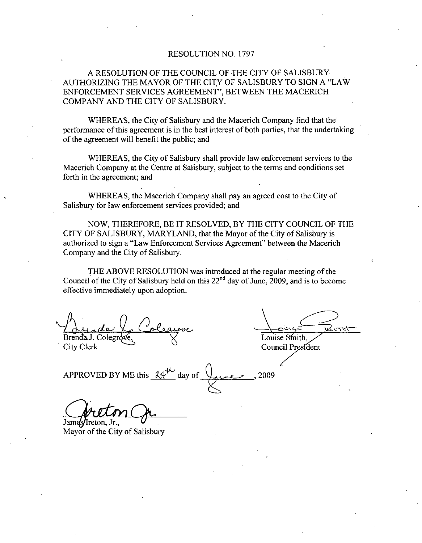## RESOLUTION NO. 1797

# A RESOLUTION OF THE COUNCIL OF THE CITY OF SALISBURY AUTHORIZING THE MAYOR OF THE CITY OF SALISBURY TO SIGN A "LAW ENFORCEMENT SERVICES AGREEMENT", BETWEEN THE MACERICH COMPANY AND THE CITY OF SALISBURY

WHEREAS, the City of Salisbury and the Macerich Company find that the performance of this agreement is in the best interest of both parties, that the undertaking of the agreement will benefit the public; and

WHEREAS, the City of Salisbury shall provide law enforcement services to the Macerich Company at the Centre at Salisbury, subject to the terms and conditions set forth in the agreement; and

WHEREAS, the Macerich Company shall pay an agreed cost to the City of Salisbury for law enforcement services provided; and

NOW, THEREFORE, BE IT RESOLVED, BY THE CITY COUNCIL OF THE CITY OF SALISBURY, MARYLAND, that the Mayor of the City of Salisbury is authorized to sign a "Law Enforcement Services Agreement" between the Macerich Company and the City of Salisbury.

THE ABOVE RESOLUTION was introduced at the regular meeting of the Council of the City of Salisbury held on this  $22<sup>nd</sup>$  day of June, 2009, and is to become

effective immediately upon adoption.<br>Aude Coleanove<br>BrendaJ. Colegrove,  $B$ renda J. Colegrove.  $\forall$  Louise Smith

City Clerk Council President

APPROVED BY ME this  $24^{\circ}$  day of 2009

James/Ireton, Jr.,

Mayor of the City of Salisbury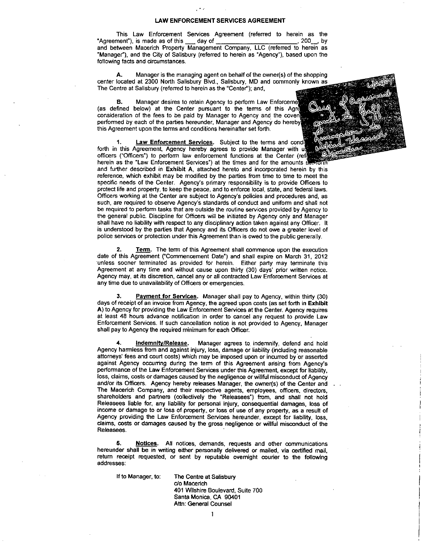#### LAW ENFORCEMENT SERVICES AGREEMENT

This Law Enforcement Services Agreement (referred to herein as the ment<sup>\*</sup>), is made as of this day of "Agreement"), is made as of this  $\frac{1}{2}$  day of  $\frac{1}{2}$ and between Macerich Property Management Company, LLC (referred to herein as "Manager"), and the City of Salisbury (referred to herein as "Agency"), based upon the following facts and circumstances. ment"), is made as of this <u>ead</u> of **and a manufaulty**, ELC (referred to herein as er"), and the City of Salisbury (referred to herein as "Agency"), based upon the gracts and circumstances.<br> **A.** Manager is the managing ag

center located at 2300 North Salisbury Blvd., Salisbury, MD and commonly known as The Centre at Salisbury (referred to herein as the "Center"); and,

Manager desires to retain Agency to perform Law Enforceme (as defined below) at the Center pursuant to the terms of this Agre consideration of the fees to be paid by Manager to Agency and the coven performed by each of the parties hereunder. Manager and Agency do hereby this Agreement upon the terms and conditions hereinafter set forth

Law Enforcement Services. Subject to the terms and condi forth in this Agreement. Agency hereby agrees to provide Manager with u officers ("Officers") to perform law enforcement functions at the Center (ref herein as the "Law Enforcement Services") at the times and for the amounts  $\frac{3}{5}$ and further described in Exhibit A, attached hereto and incorporated herein by this reference, which exhibit may be modified by the parties from time to time to meet the specific needs of the Center. Agency's primary responsibility is to provide Officers to Forth in this Agency hereby agrees to provide Manager with under<br>officers ("Officers") to perform law enforcement functions at the Center (refit<br>herein as the "Law Enforcement Services") at the times and for the amounts se neten as the Caw Enforcement Gervices y at the thres and to the amounts second<br>and further described in Exhibit A, attached hereto and incorporated herein by this<br>reference, which exhibit may be modified by the parties fro be required to perform tasks that are outside the routine services provided by Agency to the general public. Discipline for Officers will be initiated by Agency only and Manager shall have no liability with respect to any disciplinary action taken against any Officer. It is understood by the parties that Agency and its Officers do not owe a greater level of police services or protection under this Agreement than is owed to the public generally.

2. Term. The term of this Agreement shall commence upon the execution date of this Agreement ("Commencement Date") and shall expire on March 31, 2012 unless sooner terminated as provided for herein. Either party may terminate this Agreement at any time and without cause upon thirty (30) days' prior written notice. Agency may, at its discretion, cancel any or all contracted Law Enforcement Services at any time due to unavailability of Officers or emergencies.

Payment for Services. Manager shall pay to Agency, within thirty (30) days of receipt of an invoice from Agency, the agreed upon costs (as set forth in Exhibit A) to Agency for providing the Law Enforcement Services at the Center. Agency requires at least 48 hours advance notification in order to cencel any request to provide Law Enforcement Services If such cancellation notice is not provided to Agency Manager shall pay to Agency the required minimum for each Officer.

Indemnity/Release. Manager agrees to indemnify, defend and hold Agency harmless from and against injury loss damage or liability inctuding reasonable attorneys fees and court costs which may be imposed upon or incurred by or asserted against Agency occurring during the term of this Agreement arising from performance of the Law Enforcement Services under this Agreement, except fo Manager<br>
and hold<br>
assonable<br>
asserted<br>
Agency's<br>
pr liability,<br>
pf Agency loss, claims, costs or damages caused by the negligence or willful misconduct of Agency<br>and/or its Officers. Agency hereby releases Manager, the owner(s) of the Center and Agency harmless from and against injury, loss, damage or liability (including reasonable<br>attorneys' fees and court costs) which may be imposed upon or incurred by or asserted<br>against Agency occurring during the term of thi The Macerich Company, and their respective agents, employees, officers, directors, shareholders and partners (collectively the "Releasees") from, and shall not hold Releasees liable for, any liability for personal injury, consequential damages, loss of income or damage to or loss of property, or loss of use of any property, as a result of Agency providing the Law Enforcement Services hereunder, except for liability, loss, daims costs or damages ceused by the gross negligence or willful misconduct of the Releasees

**6.** Notices. All notices, demands, requests and other communications hereunder shall be in writing either personally delivered or mailed, via certified mail, return receipt requested, or sent by reputable overnight courier to the following addresses

If to Manager, to: The Centre at Salisbury do Macench 401 Wilshire Boulevard, Suite 700 Santa Monice CA 90401 Attn: General Counsel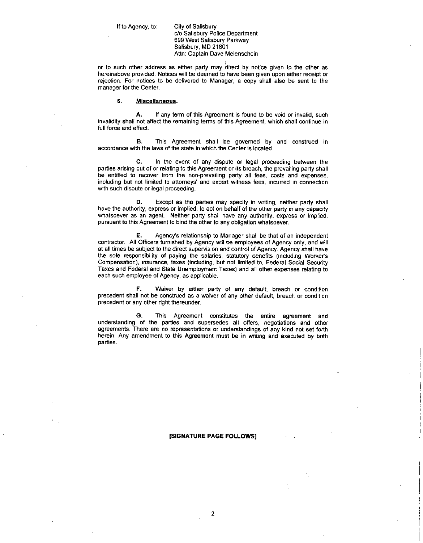do Salisbury Police Department 699 West Salisbury Parkway Salisbury, MD 21801 Attn: Captain Dave Meienschein

or to such other address as either party may direct by notice given to the other as hereinabove provided. Notices will be deemed to have been given upon either receipt or rejection. For notices to be delivered to Manager, a copy shall also be sent to the manager for the Center.

#### 6 Miscellaneous

A. If any term of this Agreement is found to be void or invalid, such invalidity shall not affect the remaining terms of this Agreement, which shall continue in full force and effect

**B.** This Agreement shall be governed by and construed in accordance with the laws of the state in which the Center is located.

C. In the event of any dispute or legal proceeding between the parties arising out of or relating to this Agreement or its breach, the prevailing party shall be entitled to recover from the non-prevailing party all fees, costs and expenses, including but not limited to attorneys' and expert witness fees, incurred in connection with such dispute or legal proceeding.

D. Except as the parties may specify in writing, neither party shall have the authority express or implied to act on behalf of the other party in any capacity whatsoever as an agent. Neither party shall have any authority, express or implied, pursuant to this Agreement to bind the other to any obligation whatsoever. Except as the pattes may spectry in whiling, helinet party shall<br>whatsoever as an agent. Neither party shall have any authority, express or implied,<br>pursuant to this Agreement to bind the other to any obligation whatsoever

at all times be subject to the direct supervision and control of Agency Agency shall have the sole responsibility of paying the salaries statutory benefits incuding Workers Compensation), insurance, taxes (including, but not limited to, Federal Social Security Taxes and Federal and State Unemployment Taxes) and all other expenses relating to each such employee of Agency, as applicable.

F. Waiver by either party of any default, breach or condition precedent shall not be construed as a waiver of any other default, breach or condition precedent or any other right thereunder.

G. This Agreement constitutes the entire agreement and understanding of the parties and supersedes all offers, negotiations and other agreements There are no representations or understandings of any kind not set forth herein. Any amendment to this Agreement must be in writing and executed by both parties

#### SIGNATURE PAGE FOLLOWS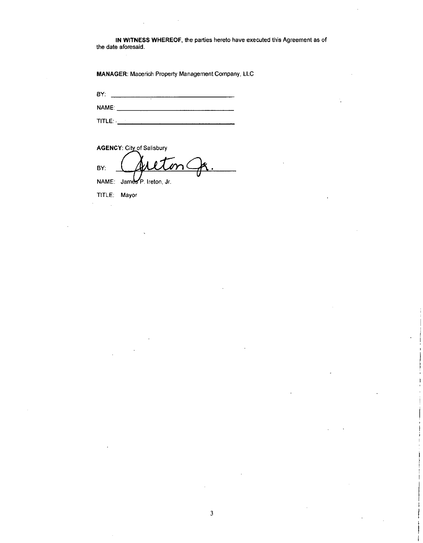IN WITNESS WHEREOF, the parties hereto have executed this Agreement as of the date aforesaid

MANAGER: Macerich Property Management Company, LLC

BY NAME

 $\begin{picture}(180,10) \put(0,0){\line(1,0){10}} \put(0,0){\line(1,0){10}} \put(0,0){\line(1,0){10}} \put(0,0){\line(1,0){10}} \put(0,0){\line(1,0){10}} \put(0,0){\line(1,0){10}} \put(0,0){\line(1,0){10}} \put(0,0){\line(1,0){10}} \put(0,0){\line(1,0){10}} \put(0,0){\line(1,0){10}} \put(0,0){\line(1,0){10}} \put(0,0){\line(1,0){10}} \put(0$ 

AGENCY: City of Salisbury

BY: NAME: James P. Ireton, Jr.

TITLE: Mayor

 $\hat{\mathcal{A}}$